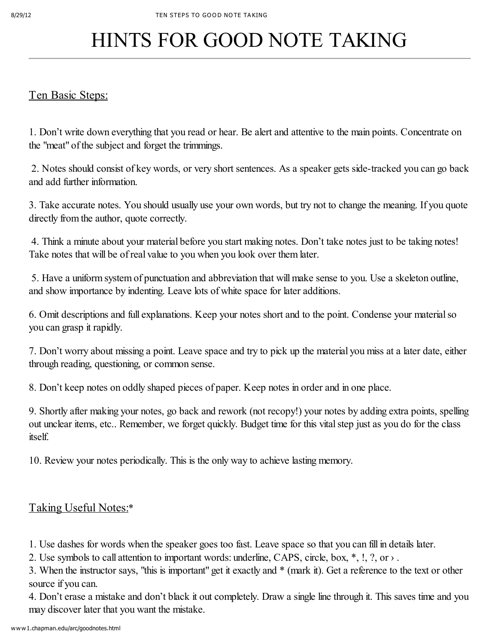## HINTS FOR GOOD NOTE TAKING

## Ten Basic Steps:

1. Don't write down everything that you read or hear. Be alert and attentive to the main points. Concentrate on the "meat" of the subject and forget the trimmings.

2. Notes should consist of key words, or very short sentences. As a speaker gets side-tracked you can go back and add further information.

3. Take accurate notes. You should usually use your own words, but try not to change the meaning. If you quote directly from the author, quote correctly.

4. Think a minute about your material before you start making notes. Don't take notes just to be taking notes! Take notes that will be of real value to you when you look over them later.

5. Have a uniform system of punctuation and abbreviation that will make sense to you. Use a skeleton outline, and show importance by indenting. Leave lots of white space for later additions.

6. Omit descriptions and full explanations. Keep your notes short and to the point. Condense your materialso you can grasp it rapidly.

7. Don't worry about missing a point. Leave space and try to pick up the material you miss at a later date, either through reading, questioning, or common sense.

8. Don't keep notes on oddly shaped pieces of paper. Keep notes in order and in one place.

9. Shortly after making your notes, go back and rework (not recopy!) your notes by adding extra points, spelling out unclear items, etc.. Remember, we forget quickly. Budget time for this vitalstep just as you do for the class itself.

10. Review your notes periodically. This is the only way to achieve lasting memory.

## Taking Useful Notes:\*

1. Use dashes for words when the speaker goes too fast. Leave space so that you can fill in details later.

2. Use symbols to call attention to important words: underline, CAPS, circle, box,  $*, \cdot, ?$ , or  $\rightarrow$ .

3. When the instructor says, "this is important" get it exactly and \* (mark it). Get a reference to the text or other source if you can.

4. Don't erase a mistake and don't black it out completely. Draw a single line through it. This saves time and you may discover later that you want the mistake.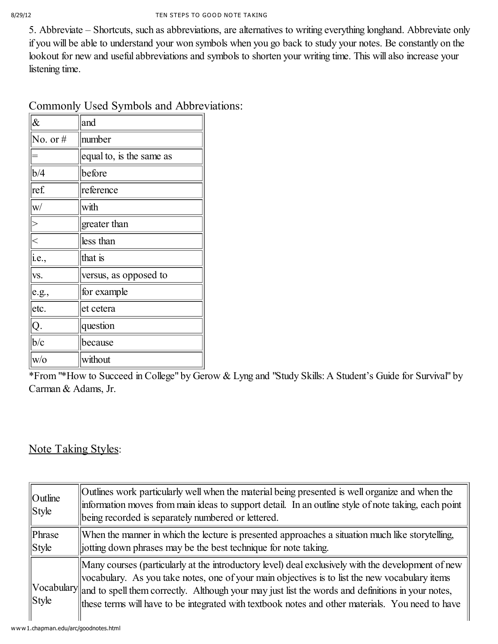5. Abbreviate – Shortcuts, such as abbreviations, are alternatives to writing everything longhand. Abbreviate only if you will be able to understand your won symbols when you go back to study your notes. Be constantly on the lookout for new and useful abbreviations and symbols to shorten your writing time. This will also increase your listening time.

| $\&$                      | and                      |
|---------------------------|--------------------------|
| No. or $#$                | number                   |
|                           | equal to, is the same as |
| b/4                       | before                   |
| ref.                      | reference                |
| W/                        | with                     |
| $\left\vert >\right\vert$ | greater than             |
|                           | less than                |
| i.e.,                     | that is                  |
| VS.                       | versus, as opposed to    |
| e.g.,                     | for example              |
| etc.                      | et cetera                |
| Q.                        | question                 |
| b/c                       | because                  |
| $W\!/\!0$                 | without                  |

Commonly Used Symbols and Abbreviations:

\*From "\*How to Succeed in College" by Gerow & Lyng and "Study Skills: A Student's Guide for Survival" by Carman & Adams, Jr.

## Note Taking Styles:

| $\vert$ Outline<br><b>Style</b> | Outlines work particularly well when the material being presented is well organize and when the<br>information moves from main ideas to support detail. In an outline style of note taking, each point<br>being recorded is separately numbered or lettered.                                                                                                                                                             |
|---------------------------------|--------------------------------------------------------------------------------------------------------------------------------------------------------------------------------------------------------------------------------------------------------------------------------------------------------------------------------------------------------------------------------------------------------------------------|
| Phrase<br>Style                 | When the manner in which the lecture is presented approaches a situation much like storytelling,<br>jotting down phrases may be the best technique for note taking.                                                                                                                                                                                                                                                      |
| <b>Style</b>                    | Many courses (particularly at the introductory level) deal exclusively with the development of new<br>vocabulary. As you take notes, one of your main objectives is to list the new vocabulary items<br>Vocabulary and to spell them correctly. Although your may just list the words and definitions in your notes,<br>these terms will have to be integrated with textbook notes and other materials. You need to have |